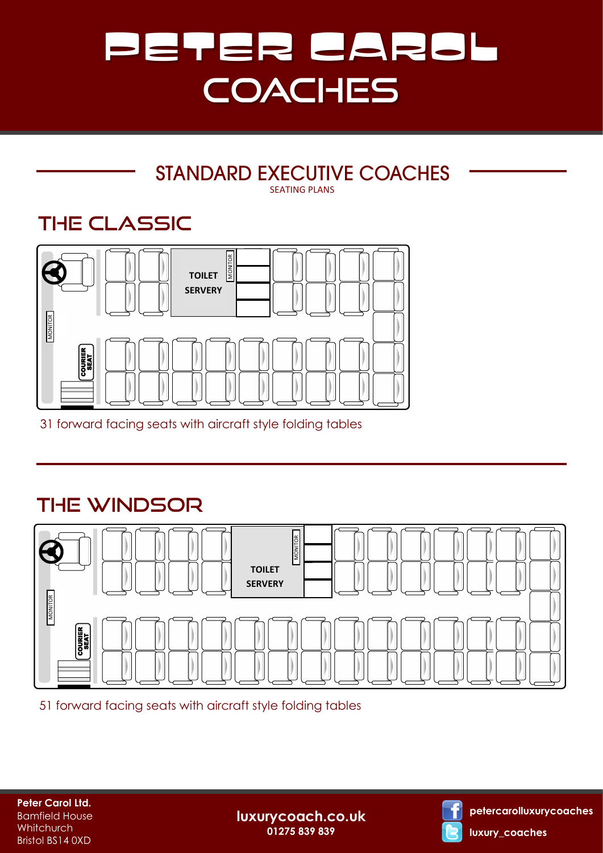# PETER CAROL COACHES

#### **STANDARD EXECUTIVE COACHES** SEATING PLANS

## THE CLASSIC



31 forward facing seats with aircraft style folding tables

## THE WINDSOR



51 forward facing seats with aircraft style folding tables

**Peter Carol Ltd.** Bamfield House **Whitchurch** Bristol BS14 0XD

**luxurycoach.co.uk 01275 839 839**



**luxury\_coaches petercarolluxurycoaches**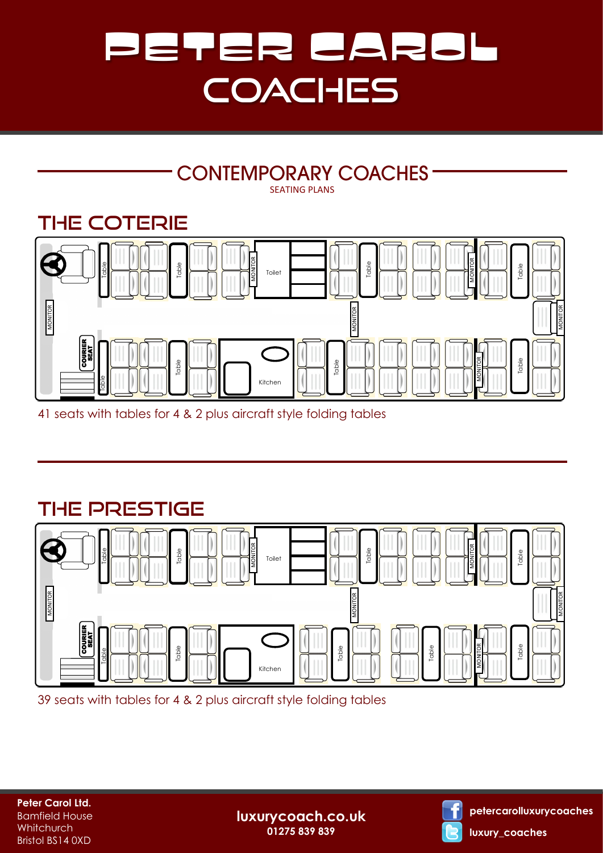# PETER CAROL COACHES

#### **CONTEMPORARY COACHES** SEATING PLANS

### THE COTERIE



41 seats with tables for 4 & 2 plus aircraft style folding tables

#### THE PRESTIGE



39 seats with tables for 4 & 2 plus aircraft style folding tables

**Peter Carol Ltd.** Bamfield House **Whitchurch** Bristol BS14 0XD

**luxurycoach.co.uk 01275 839 839**



**luxury\_coaches petercarolluxurycoaches**